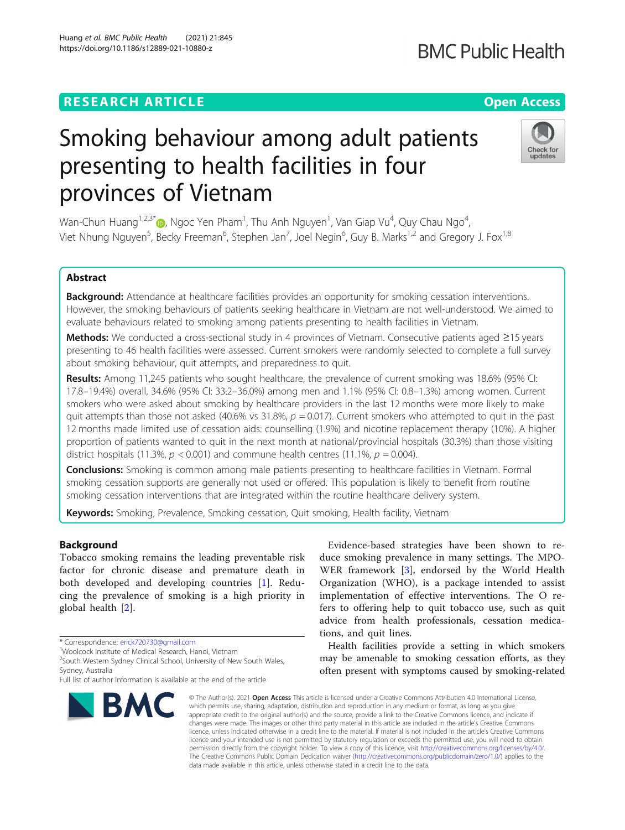# **RESEARCH ARTICLE Example 2014 12:30 Open Access**

# Smoking behaviour among adult patients presenting to health facilities in four provinces of Vietnam

Wan-Chun Huang $^{1,2,3}$  $^{1,2,3}$  $^{1,2,3}$ \* $\textcircled{\tiny{\textcircled{\tiny{\textcirc}}}}$ , Ngoc Yen Pham $^1$ , Thu Anh Nguyen $^1$ , Van Giap Vu $^4$ , Quy Chau Ngo $^4$ , Viet Nhung Nguyen<sup>5</sup>, Becky Freeman<sup>6</sup>, Stephen Jan<sup>7</sup>, Joel Negin<sup>6</sup>, Guy B. Marks<sup>1,2</sup> and Gregory J. Fox<sup>1,8</sup>

# Abstract

Background: Attendance at healthcare facilities provides an opportunity for smoking cessation interventions. However, the smoking behaviours of patients seeking healthcare in Vietnam are not well-understood. We aimed to evaluate behaviours related to smoking among patients presenting to health facilities in Vietnam.

Methods: We conducted a cross-sectional study in 4 provinces of Vietnam. Consecutive patients aged ≥15 years presenting to 46 health facilities were assessed. Current smokers were randomly selected to complete a full survey about smoking behaviour, quit attempts, and preparedness to quit.

Results: Among 11,245 patients who sought healthcare, the prevalence of current smoking was 18.6% (95% CI: 17.8–19.4%) overall, 34.6% (95% CI: 33.2–36.0%) among men and 1.1% (95% CI: 0.8–1.3%) among women. Current smokers who were asked about smoking by healthcare providers in the last 12 months were more likely to make quit attempts than those not asked (40.6% vs 31.8%,  $p = 0.017$ ). Current smokers who attempted to quit in the past 12 months made limited use of cessation aids: counselling (1.9%) and nicotine replacement therapy (10%). A higher proportion of patients wanted to quit in the next month at national/provincial hospitals (30.3%) than those visiting district hospitals (11.3%,  $p < 0.001$ ) and commune health centres (11.1%,  $p = 0.004$ ).

**Conclusions:** Smoking is common among male patients presenting to healthcare facilities in Vietnam. Formal smoking cessation supports are generally not used or offered. This population is likely to benefit from routine smoking cessation interventions that are integrated within the routine healthcare delivery system.

Keywords: Smoking, Prevalence, Smoking cessation, Quit smoking, Health facility, Vietnam

# Background

Tobacco smoking remains the leading preventable risk factor for chronic disease and premature death in both developed and developing countries [\[1](#page-7-0)]. Reducing the prevalence of smoking is a high priority in global health [\[2](#page-7-0)].

Evidence-based strategies have been shown to reduce smoking prevalence in many settings. The MPO-WER framework [\[3](#page-7-0)], endorsed by the World Health Organization (WHO), is a package intended to assist implementation of effective interventions. The O refers to offering help to quit tobacco use, such as quit advice from health professionals, cessation medications, and quit lines.

Health facilities provide a setting in which smokers may be amenable to smoking cessation efforts, as they often present with symptoms caused by smoking-related

© The Author(s), 2021 **Open Access** This article is licensed under a Creative Commons Attribution 4.0 International License, which permits use, sharing, adaptation, distribution and reproduction in any medium or format, as long as you give appropriate credit to the original author(s) and the source, provide a link to the Creative Commons licence, and indicate if changes were made. The images or other third party material in this article are included in the article's Creative Commons licence, unless indicated otherwise in a credit line to the material. If material is not included in the article's Creative Commons licence and your intended use is not permitted by statutory regulation or exceeds the permitted use, you will need to obtain permission directly from the copyright holder. To view a copy of this licence, visit [http://creativecommons.org/licenses/by/4.0/.](http://creativecommons.org/licenses/by/4.0/) The Creative Commons Public Domain Dedication waiver [\(http://creativecommons.org/publicdomain/zero/1.0/](http://creativecommons.org/publicdomain/zero/1.0/)) applies to the data made available in this article, unless otherwise stated in a credit line to the data.









<sup>\*</sup> Correspondence: [erick720730@gmail.com](mailto:erick720730@gmail.com) <sup>1</sup>

Woolcock Institute of Medical Research, Hanoi, Vietnam

<sup>&</sup>lt;sup>2</sup>South Western Sydney Clinical School, University of New South Wales, Sydney, Australia

Full list of author information is available at the end of the article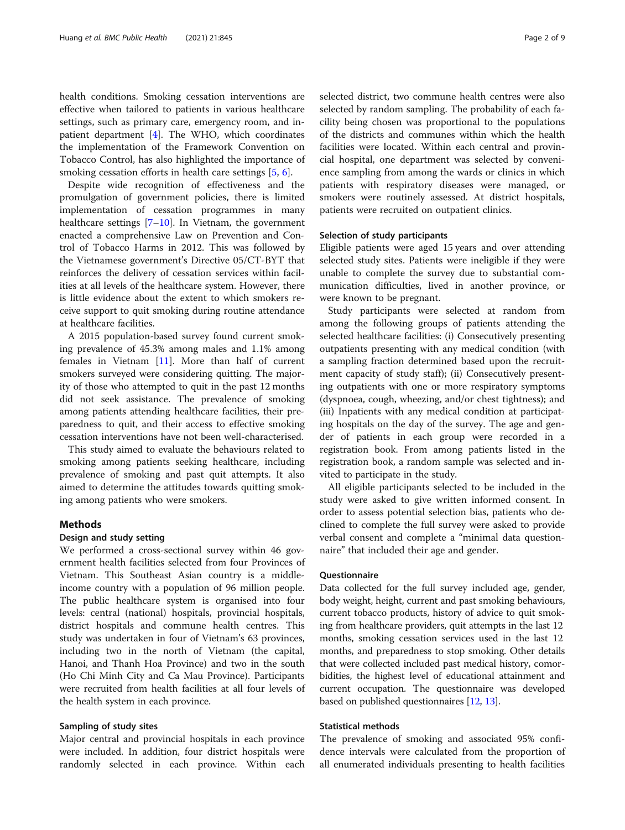health conditions. Smoking cessation interventions are effective when tailored to patients in various healthcare settings, such as primary care, emergency room, and inpatient department  $[4]$  $[4]$ . The WHO, which coordinates the implementation of the Framework Convention on Tobacco Control, has also highlighted the importance of smoking cessation efforts in health care settings [[5,](#page-7-0) [6\]](#page-7-0).

Despite wide recognition of effectiveness and the promulgation of government policies, there is limited implementation of cessation programmes in many healthcare settings  $[7-10]$  $[7-10]$  $[7-10]$  $[7-10]$ . In Vietnam, the government enacted a comprehensive Law on Prevention and Control of Tobacco Harms in 2012. This was followed by the Vietnamese government's Directive 05/CT-BYT that reinforces the delivery of cessation services within facilities at all levels of the healthcare system. However, there is little evidence about the extent to which smokers receive support to quit smoking during routine attendance at healthcare facilities.

A 2015 population-based survey found current smoking prevalence of 45.3% among males and 1.1% among females in Vietnam [\[11](#page-7-0)]. More than half of current smokers surveyed were considering quitting. The majority of those who attempted to quit in the past 12 months did not seek assistance. The prevalence of smoking among patients attending healthcare facilities, their preparedness to quit, and their access to effective smoking cessation interventions have not been well-characterised.

This study aimed to evaluate the behaviours related to smoking among patients seeking healthcare, including prevalence of smoking and past quit attempts. It also aimed to determine the attitudes towards quitting smoking among patients who were smokers.

#### Methods

#### Design and study setting

We performed a cross-sectional survey within 46 government health facilities selected from four Provinces of Vietnam. This Southeast Asian country is a middleincome country with a population of 96 million people. The public healthcare system is organised into four levels: central (national) hospitals, provincial hospitals, district hospitals and commune health centres. This study was undertaken in four of Vietnam's 63 provinces, including two in the north of Vietnam (the capital, Hanoi, and Thanh Hoa Province) and two in the south (Ho Chi Minh City and Ca Mau Province). Participants were recruited from health facilities at all four levels of the health system in each province.

#### Sampling of study sites

Major central and provincial hospitals in each province were included. In addition, four district hospitals were randomly selected in each province. Within each selected district, two commune health centres were also selected by random sampling. The probability of each facility being chosen was proportional to the populations of the districts and communes within which the health facilities were located. Within each central and provincial hospital, one department was selected by convenience sampling from among the wards or clinics in which patients with respiratory diseases were managed, or smokers were routinely assessed. At district hospitals, patients were recruited on outpatient clinics.

#### Selection of study participants

Eligible patients were aged 15 years and over attending selected study sites. Patients were ineligible if they were unable to complete the survey due to substantial communication difficulties, lived in another province, or were known to be pregnant.

Study participants were selected at random from among the following groups of patients attending the selected healthcare facilities: (i) Consecutively presenting outpatients presenting with any medical condition (with a sampling fraction determined based upon the recruitment capacity of study staff); (ii) Consecutively presenting outpatients with one or more respiratory symptoms (dyspnoea, cough, wheezing, and/or chest tightness); and (iii) Inpatients with any medical condition at participating hospitals on the day of the survey. The age and gender of patients in each group were recorded in a registration book. From among patients listed in the registration book, a random sample was selected and invited to participate in the study.

All eligible participants selected to be included in the study were asked to give written informed consent. In order to assess potential selection bias, patients who declined to complete the full survey were asked to provide verbal consent and complete a "minimal data questionnaire" that included their age and gender.

#### **Ouestionnaire**

Data collected for the full survey included age, gender, body weight, height, current and past smoking behaviours, current tobacco products, history of advice to quit smoking from healthcare providers, quit attempts in the last 12 months, smoking cessation services used in the last 12 months, and preparedness to stop smoking. Other details that were collected included past medical history, comorbidities, the highest level of educational attainment and current occupation. The questionnaire was developed based on published questionnaires [[12](#page-7-0), [13\]](#page-7-0).

# Statistical methods

The prevalence of smoking and associated 95% confidence intervals were calculated from the proportion of all enumerated individuals presenting to health facilities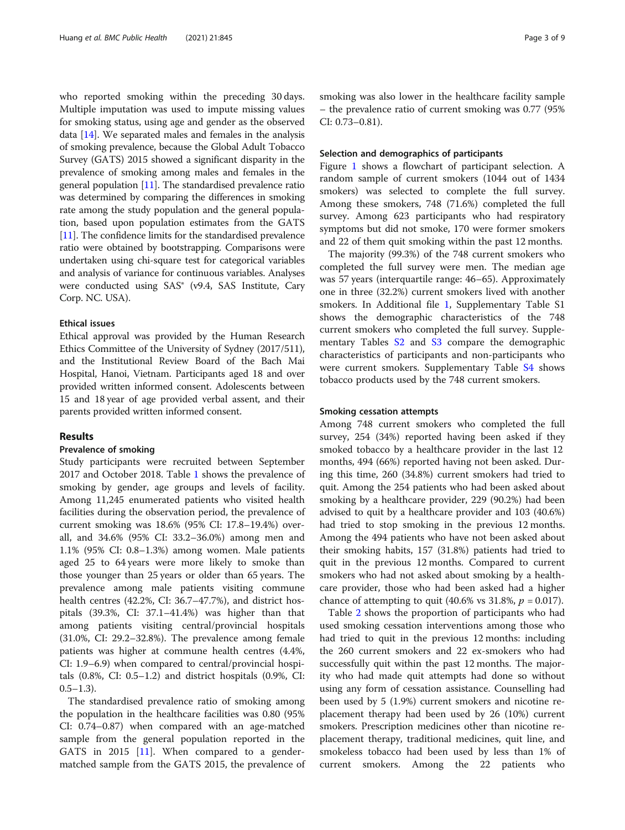who reported smoking within the preceding 30 days. Multiple imputation was used to impute missing values for smoking status, using age and gender as the observed data  $[14]$  $[14]$  $[14]$ . We separated males and females in the analysis of smoking prevalence, because the Global Adult Tobacco Survey (GATS) 2015 showed a significant disparity in the prevalence of smoking among males and females in the general population [\[11](#page-7-0)]. The standardised prevalence ratio was determined by comparing the differences in smoking rate among the study population and the general population, based upon population estimates from the GATS [[11](#page-7-0)]. The confidence limits for the standardised prevalence ratio were obtained by bootstrapping. Comparisons were undertaken using chi-square test for categorical variables and analysis of variance for continuous variables. Analyses were conducted using SAS® (v9.4, SAS Institute, Cary Corp. NC. USA).

#### Ethical issues

Ethical approval was provided by the Human Research Ethics Committee of the University of Sydney (2017/511), and the Institutional Review Board of the Bach Mai Hospital, Hanoi, Vietnam. Participants aged 18 and over provided written informed consent. Adolescents between 15 and 18 year of age provided verbal assent, and their parents provided written informed consent.

#### Results

#### Prevalence of smoking

Study participants were recruited between September 2017 and October 2018. Table [1](#page-3-0) shows the prevalence of smoking by gender, age groups and levels of facility. Among 11,245 enumerated patients who visited health facilities during the observation period, the prevalence of current smoking was 18.6% (95% CI: 17.8–19.4%) overall, and 34.6% (95% CI: 33.2–36.0%) among men and 1.1% (95% CI: 0.8–1.3%) among women. Male patients aged 25 to 64 years were more likely to smoke than those younger than 25 years or older than 65 years. The prevalence among male patients visiting commune health centres (42.2%, CI: 36.7–47.7%), and district hospitals (39.3%, CI: 37.1–41.4%) was higher than that among patients visiting central/provincial hospitals (31.0%, CI: 29.2–32.8%). The prevalence among female patients was higher at commune health centres (4.4%, CI: 1.9–6.9) when compared to central/provincial hospitals  $(0.8\% , \text{ CI: } 0.5-1.2)$  and district hospitals  $(0.9\% , \text{ CI: } 0.5-1.2)$  $(0.5-1.3)$ .

The standardised prevalence ratio of smoking among the population in the healthcare facilities was 0.80 (95% CI: 0.74–0.87) when compared with an age-matched sample from the general population reported in the GATS in 2015 [[11\]](#page-7-0). When compared to a gendermatched sample from the GATS 2015, the prevalence of smoking was also lower in the healthcare facility sample – the prevalence ratio of current smoking was 0.77 (95% CI: 0.73–0.81).

#### Selection and demographics of participants

Figure [1](#page-4-0) shows a flowchart of participant selection. A random sample of current smokers (1044 out of 1434 smokers) was selected to complete the full survey. Among these smokers, 748 (71.6%) completed the full survey. Among 623 participants who had respiratory symptoms but did not smoke, 170 were former smokers and 22 of them quit smoking within the past 12 months.

The majority (99.3%) of the 748 current smokers who completed the full survey were men. The median age was 57 years (interquartile range: 46–65). Approximately one in three (32.2%) current smokers lived with another smokers. In Additional file [1](#page-7-0), Supplementary Table S1 shows the demographic characteristics of the 748 current smokers who completed the full survey. Supplementary Tables S<sub>2</sub> and S<sub>3</sub> compare the demographic characteristics of participants and non-participants who were current smokers. Supplementary Table [S4](#page-7-0) shows tobacco products used by the 748 current smokers.

#### Smoking cessation attempts

Among 748 current smokers who completed the full survey, 254 (34%) reported having been asked if they smoked tobacco by a healthcare provider in the last 12 months, 494 (66%) reported having not been asked. During this time, 260 (34.8%) current smokers had tried to quit. Among the 254 patients who had been asked about smoking by a healthcare provider, 229 (90.2%) had been advised to quit by a healthcare provider and 103 (40.6%) had tried to stop smoking in the previous 12 months. Among the 494 patients who have not been asked about their smoking habits, 157 (31.8%) patients had tried to quit in the previous 12 months. Compared to current smokers who had not asked about smoking by a healthcare provider, those who had been asked had a higher chance of attempting to quit (40.6% vs 31.8%,  $p = 0.017$ ).

Table [2](#page-5-0) shows the proportion of participants who had used smoking cessation interventions among those who had tried to quit in the previous 12 months: including the 260 current smokers and 22 ex-smokers who had successfully quit within the past 12 months. The majority who had made quit attempts had done so without using any form of cessation assistance. Counselling had been used by 5 (1.9%) current smokers and nicotine replacement therapy had been used by 26 (10%) current smokers. Prescription medicines other than nicotine replacement therapy, traditional medicines, quit line, and smokeless tobacco had been used by less than 1% of current smokers. Among the 22 patients who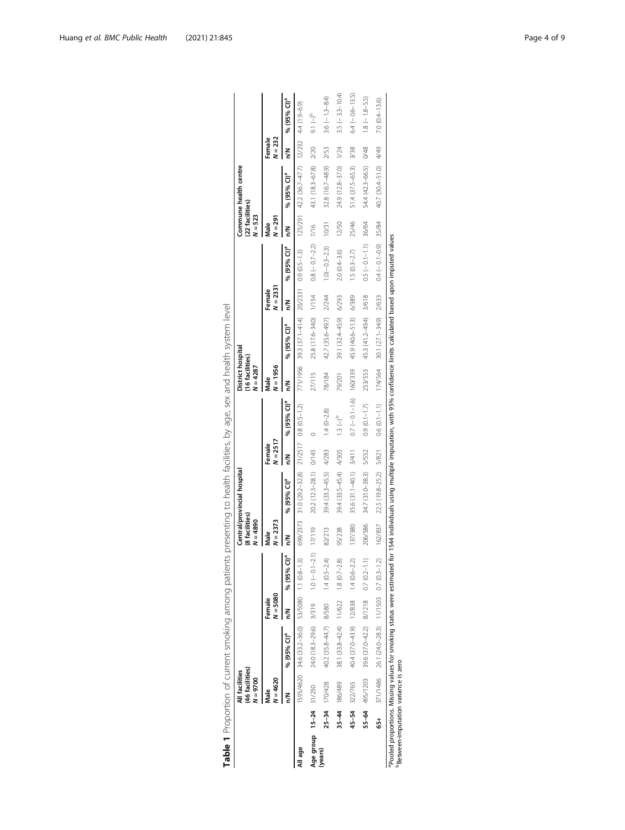|                        | (46 facilities)<br>All facilities<br>$N = 9700$ |                                                                                                                                                                                      |                      |                | (8 facilities)<br>$N = 4890$ | Central/provincial hospital                     |                      |                                     | District hospital<br>(16 facilities)<br>$N = 4287$ |                                                 |                      |                          | (22 facilities)<br>$N = 523$ | Commune health centre                             |                     |                         |
|------------------------|-------------------------------------------------|--------------------------------------------------------------------------------------------------------------------------------------------------------------------------------------|----------------------|----------------|------------------------------|-------------------------------------------------|----------------------|-------------------------------------|----------------------------------------------------|-------------------------------------------------|----------------------|--------------------------|------------------------------|---------------------------------------------------|---------------------|-------------------------|
|                        | $I = 4620$<br>Male                              |                                                                                                                                                                                      | $N = 5080$<br>Female |                | $N = 2373$<br>Male           |                                                 | $N = 2517$<br>Female |                                     | $N = 1956$<br>Male                                 |                                                 | $N = 2331$<br>Female |                          | $N = 291$<br>Male            |                                                   | $N = 232$<br>Female |                         |
|                        |                                                 | % (95% CI) <sup>a</sup>                                                                                                                                                              | ξ                    | ₹<br>% (95%    | ξ                            | % (95% CI) <sup>a</sup>                         | ξ                    | % (95% Cl)ª                         | ξ                                                  | % (95% CI) <sup>a</sup>                         | ξ                    | % (95% CI) <sup>a</sup>  | Š                            | % (95% CI) <sup>a</sup>                           | ξ                   | % (95% CI) <sup>a</sup> |
| All age                |                                                 | 1595/4620 34.6 (33.2-36.0) 53/5080 1.1 (0.8-1.3)                                                                                                                                     |                      |                |                              | 699/2373 31.0 (29.2-32.8) 21/2517 0.8 (0.5-1.2) |                      |                                     |                                                    | 771/1956 39.3 (37.1-41.4) 20/2331 0.9 (0.5-1.3) |                      |                          |                              | $125/291$ 42.2 (36.7-47.7) $12/232$ 4.4 (1.9-6.9) |                     |                         |
| Age group 15-24 51/250 |                                                 | 24.0 (18.3-29.6) 3/319 1.0 (-0.1-2.1) 17/119                                                                                                                                         |                      |                |                              | 20.2 (12.3-28.1) 0/145                          |                      |                                     | 27/115                                             | 25.8 (17.6-34.0) 1/154                          |                      | $0.8 (-0.7 - 2.2)$ 7/16  |                              | 43.1 (18.3-67.8)                                  | 2/20                | $9.1(-)^{b}$            |
| (years)                | 25-34 170/428                                   | 40.2 (35.8-44.7) 8/580                                                                                                                                                               |                      | $1.4(0.5-2.4)$ | 82/213                       | 39.4 (33.3-45.5)                                | 4/283                | $1.4 (0 - 2.8)$                     | 78/184                                             | 42.7 (35.6-49.7) 2/244                          |                      | $1.0(-0.3-2.3)$          | 10/31                        | $32.8(16.7 - 48.9)$                               | 2/53                | $3.6(-1.3-8.4)$         |
|                        | 35-44 186/489                                   | 38.1 (33.8-42.4) 11/622 1.8 (0.7-2.8)                                                                                                                                                |                      |                | 95/238                       | 39.4 (33.5-45.4)                                | 4/305                | $1.3 \left( - \right)$ <sup>b</sup> | 79/201                                             | 39.1 (32.4-45.9)                                | 6/293                | $2.0(0.4 - 3.6)$         | 12/50                        | 24.9 (12.8-37.0) 1/24                             |                     | $3.5(-3.3-10.4)$        |
|                        | 45-54 322/765                                   | $40.4$ (37.0-43.9) 12/838 1.4 (0.6-2.2)                                                                                                                                              |                      |                | 137/380                      | 35.6 (31.1-40.1) 3/411                          |                      | $0.7 (-0.1 - 1.6)$ 160/339          |                                                    | 45.9 (40.6-51.3)                                | 6/389                | $1.5(0.3-2.7)$           | 25/46                        | 51.4 (37.5-65.3)                                  | 3/38                | $6.4 (-0.6 - 13.5)$     |
|                        | 55-64 495/1203                                  | 39.6 $(37.0-42.2)$ $8/1218$ $0.7(0.2-1.1)$                                                                                                                                           |                      |                | 206/586                      | 34.7 (31.0-38.3)                                | 5/552                | $0.9(0.1 - 1.7)$                    | 253/553                                            | 45.3 (41.2-49.4) 3/618                          |                      | $0.5(-0.1 - 1.1)$        | 36/64                        | 54.4 (42.3-66.5)                                  | 0/48                | $1.8(-1.8-5.5)$         |
|                        |                                                 | 65+ 371/1486 26.1 (24.0-28.3) 11/1503 0.7 (0.3-1.2)                                                                                                                                  |                      |                | 162/837                      | 22.5 (19.8-25.2) 5/821                          |                      | 0.6 (0.1-1.1) 174/564               |                                                    | 30.1 (27.1-34.9) 2/633                          |                      | $0.4 (-0.1 - 0.9)$ 35/84 |                              | 40.7 (30.4-51.0)                                  | 4/49                | $7.0(0.4 - 13.6)$       |
|                        | "Between-imputation variance is zero            | Pooled proportions. Missing values for smoking status were estimated for 1544 individuals using multiple imputation, with 95% confidence limits calculated based upon imputed values |                      |                |                              |                                                 |                      |                                     |                                                    |                                                 |                      |                          |                              |                                                   |                     |                         |

| i<br>j<br>1                                |  |
|--------------------------------------------|--|
| Ï                                          |  |
| í                                          |  |
| $\frac{1}{2}$                              |  |
|                                            |  |
| $\overline{a}$<br>$\overline{\phantom{a}}$ |  |
|                                            |  |
| Į<br>¢                                     |  |
| i                                          |  |
| Ï                                          |  |
| j<br>١<br>d                                |  |
| $\overline{a}$                             |  |
| i<br>)<br>)<br>Í                           |  |
| $\overline{a}$<br>i                        |  |
| d                                          |  |
| $\overline{1}$<br>j<br>Ï                   |  |
| İ<br>J<br>l<br>$\overline{\phantom{a}}$    |  |
| ׇ֠<br>ł                                    |  |
| ١<br>į                                     |  |
| Ó                                          |  |
| l<br>ļ<br>j                                |  |
| Í<br>)                                     |  |
| į<br>ć                                     |  |
| $\frac{1}{2}$                              |  |
| $\mathbf{r}$                               |  |
| i<br>Ì                                     |  |
| $\overline{\phantom{a}}$<br>d<br>l         |  |
| j<br>١                                     |  |
|                                            |  |
| Į<br>Ç<br>֬֘֝֬                             |  |
| j                                          |  |
| ֘֒                                         |  |
|                                            |  |
| $\frac{1}{2}$<br>ļ                         |  |
|                                            |  |
| ļ                                          |  |
| Ï                                          |  |
|                                            |  |
| able 1                                     |  |
| I                                          |  |

<span id="page-3-0"></span>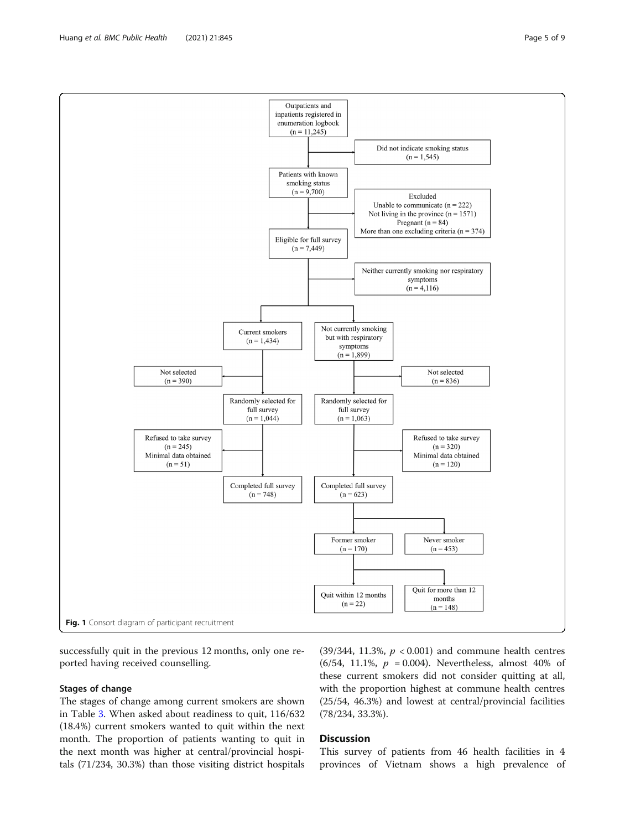successfully quit in the previous 12 months, only one reported having received counselling.

# Stages of change

The stages of change among current smokers are shown in Table [3.](#page-5-0) When asked about readiness to quit, 116/632 (18.4%) current smokers wanted to quit within the next month. The proportion of patients wanting to quit in the next month was higher at central/provincial hospitals (71/234, 30.3%) than those visiting district hospitals

(39/344, 11.3%,  $p < 0.001$ ) and commune health centres (6/54, 11.1%,  $p = 0.004$ ). Nevertheless, almost 40% of these current smokers did not consider quitting at all, with the proportion highest at commune health centres (25/54, 46.3%) and lowest at central/provincial facilities (78/234, 33.3%).

# **Discussion**

This survey of patients from 46 health facilities in 4 provinces of Vietnam shows a high prevalence of

<span id="page-4-0"></span>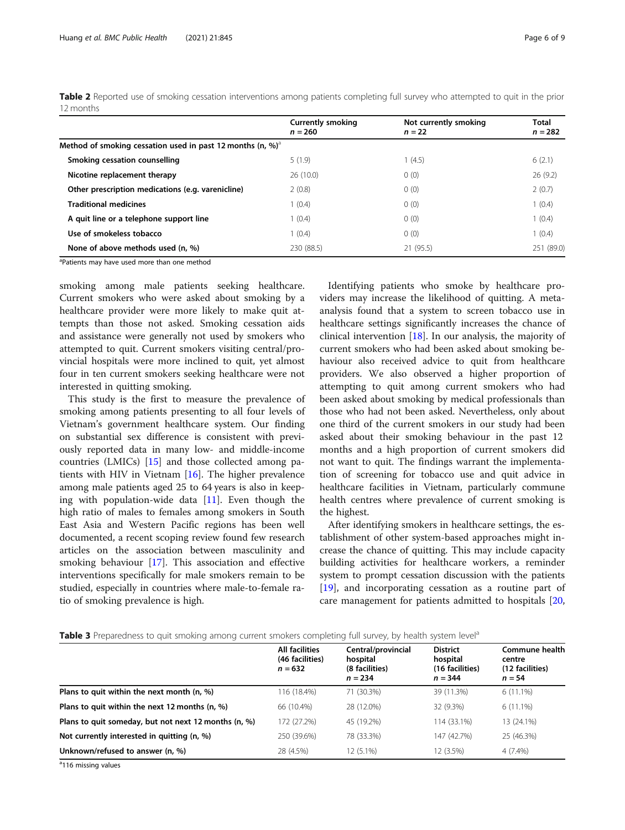|                                                                            | <b>Currently smoking</b><br>$n = 260$ | Not currently smoking<br>$n = 22$ | Total<br>$n = 282$ |
|----------------------------------------------------------------------------|---------------------------------------|-----------------------------------|--------------------|
| Method of smoking cessation used in past 12 months (n, $\%$ ) <sup>a</sup> |                                       |                                   |                    |
| Smoking cessation counselling                                              | 5(1.9)                                | 1(4.5)                            | 6(2.1)             |
| Nicotine replacement therapy                                               | 26(10.0)                              | 0(0)                              | 26(9.2)            |
| Other prescription medications (e.g. varenicline)                          | 2(0.8)                                | 0(0)                              | 2(0.7)             |
| <b>Traditional medicines</b>                                               | (0.4)                                 | 0(0)                              | 1(0.4)             |
| A quit line or a telephone support line                                    | (0.4)                                 | 0(0)                              | 1(0.4)             |
| Use of smokeless tobacco                                                   | (0.4)                                 | 0(0)                              | 1(0.4)             |
| None of above methods used (n, %)                                          | 230 (88.5)                            | 21(95.5)                          | 251 (89.0)         |

<span id="page-5-0"></span>Table 2 Reported use of smoking cessation interventions among patients completing full survey who attempted to quit in the prior 12 months

<sup>a</sup>Patients may have used more than one method

smoking among male patients seeking healthcare. Current smokers who were asked about smoking by a healthcare provider were more likely to make quit attempts than those not asked. Smoking cessation aids and assistance were generally not used by smokers who attempted to quit. Current smokers visiting central/provincial hospitals were more inclined to quit, yet almost four in ten current smokers seeking healthcare were not interested in quitting smoking.

This study is the first to measure the prevalence of smoking among patients presenting to all four levels of Vietnam's government healthcare system. Our finding on substantial sex difference is consistent with previously reported data in many low- and middle-income countries (LMICs)  $[15]$  $[15]$  and those collected among patients with HIV in Vietnam [[16\]](#page-7-0). The higher prevalence among male patients aged 25 to 64 years is also in keeping with population-wide data [[11\]](#page-7-0). Even though the high ratio of males to females among smokers in South East Asia and Western Pacific regions has been well documented, a recent scoping review found few research articles on the association between masculinity and smoking behaviour [[17](#page-7-0)]. This association and effective interventions specifically for male smokers remain to be studied, especially in countries where male-to-female ratio of smoking prevalence is high.

Identifying patients who smoke by healthcare providers may increase the likelihood of quitting. A metaanalysis found that a system to screen tobacco use in healthcare settings significantly increases the chance of clinical intervention [[18\]](#page-7-0). In our analysis, the majority of current smokers who had been asked about smoking behaviour also received advice to quit from healthcare providers. We also observed a higher proportion of attempting to quit among current smokers who had been asked about smoking by medical professionals than those who had not been asked. Nevertheless, only about one third of the current smokers in our study had been asked about their smoking behaviour in the past 12 months and a high proportion of current smokers did not want to quit. The findings warrant the implementation of screening for tobacco use and quit advice in healthcare facilities in Vietnam, particularly commune health centres where prevalence of current smoking is the highest.

After identifying smokers in healthcare settings, the establishment of other system-based approaches might increase the chance of quitting. This may include capacity building activities for healthcare workers, a reminder system to prompt cessation discussion with the patients [[19\]](#page-7-0), and incorporating cessation as a routine part of care management for patients admitted to hospitals [[20](#page-8-0),

| Table 3 Preparedness to quit smoking among current smokers completing full survey, by health system level <sup>e</sup> |  |  |  |  |  |
|------------------------------------------------------------------------------------------------------------------------|--|--|--|--|--|
|                                                                                                                        |  |  |  |  |  |

|                                                      | All facilities<br>(46 facilities)<br>$n = 632$ | Central/provincial<br>hospital<br>(8 facilities)<br>$n = 234$ | <b>District</b><br>hospital<br>(16 facilities)<br>$n = 344$ | Commune health<br>centre<br>(12 facilities)<br>$n = 54$ |
|------------------------------------------------------|------------------------------------------------|---------------------------------------------------------------|-------------------------------------------------------------|---------------------------------------------------------|
| Plans to quit within the next month $(n, %)$         | 116 (18.4%)                                    | 71 (30.3%)                                                    | 39 (11.3%)                                                  | $6(11.1\%)$                                             |
| Plans to quit within the next 12 months (n, %)       | 66 (10.4%)                                     | 28 (12.0%)                                                    | 32 (9.3%)                                                   | $6(11.1\%)$                                             |
| Plans to quit someday, but not next 12 months (n, %) | 172 (27.2%)                                    | 45 (19.2%)                                                    | 114 (33.1%)                                                 | 13 (24.1%)                                              |
| Not currently interested in quitting (n, %)          | 250 (39.6%)                                    | 78 (33.3%)                                                    | 147 (42.7%)                                                 | 25 (46.3%)                                              |
| Unknown/refused to answer (n, %)                     | 28 (4.5%)                                      | 12 (5.1%)                                                     | 12 (3.5%)                                                   | 4 (7.4%)                                                |

<sup>a</sup>116 missing values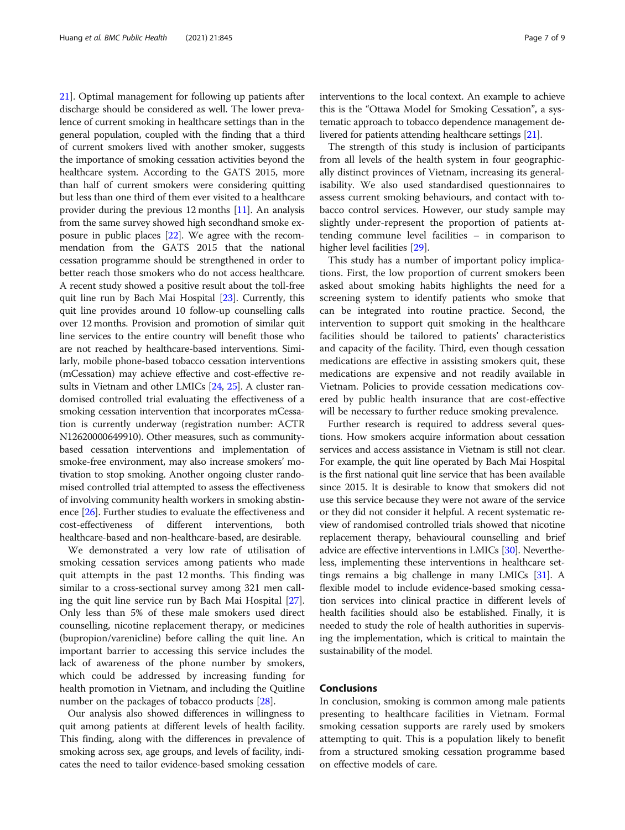[21\]](#page-8-0). Optimal management for following up patients after discharge should be considered as well. The lower prevalence of current smoking in healthcare settings than in the general population, coupled with the finding that a third of current smokers lived with another smoker, suggests the importance of smoking cessation activities beyond the healthcare system. According to the GATS 2015, more than half of current smokers were considering quitting but less than one third of them ever visited to a healthcare provider during the previous 12 months [[11\]](#page-7-0). An analysis from the same survey showed high secondhand smoke exposure in public places [\[22\]](#page-8-0). We agree with the recommendation from the GATS 2015 that the national cessation programme should be strengthened in order to better reach those smokers who do not access healthcare. A recent study showed a positive result about the toll-free quit line run by Bach Mai Hospital [\[23\]](#page-8-0). Currently, this quit line provides around 10 follow-up counselling calls over 12 months. Provision and promotion of similar quit line services to the entire country will benefit those who are not reached by healthcare-based interventions. Similarly, mobile phone-based tobacco cessation interventions (mCessation) may achieve effective and cost-effective results in Vietnam and other LMICs [[24](#page-8-0), [25](#page-8-0)]. A cluster randomised controlled trial evaluating the effectiveness of a smoking cessation intervention that incorporates mCessation is currently underway (registration number: ACTR N12620000649910). Other measures, such as communitybased cessation interventions and implementation of smoke-free environment, may also increase smokers' motivation to stop smoking. Another ongoing cluster randomised controlled trial attempted to assess the effectiveness of involving community health workers in smoking abstinence [[26](#page-8-0)]. Further studies to evaluate the effectiveness and cost-effectiveness of different interventions, both healthcare-based and non-healthcare-based, are desirable.

We demonstrated a very low rate of utilisation of smoking cessation services among patients who made quit attempts in the past 12 months. This finding was similar to a cross-sectional survey among 321 men calling the quit line service run by Bach Mai Hospital [\[27](#page-8-0)]. Only less than 5% of these male smokers used direct counselling, nicotine replacement therapy, or medicines (bupropion/varenicline) before calling the quit line. An important barrier to accessing this service includes the lack of awareness of the phone number by smokers, which could be addressed by increasing funding for health promotion in Vietnam, and including the Quitline number on the packages of tobacco products [[28\]](#page-8-0).

Our analysis also showed differences in willingness to quit among patients at different levels of health facility. This finding, along with the differences in prevalence of smoking across sex, age groups, and levels of facility, indicates the need to tailor evidence-based smoking cessation interventions to the local context. An example to achieve this is the "Ottawa Model for Smoking Cessation", a systematic approach to tobacco dependence management delivered for patients attending healthcare settings [\[21\]](#page-8-0).

The strength of this study is inclusion of participants from all levels of the health system in four geographically distinct provinces of Vietnam, increasing its generalisability. We also used standardised questionnaires to assess current smoking behaviours, and contact with tobacco control services. However, our study sample may slightly under-represent the proportion of patients attending commune level facilities – in comparison to higher level facilities [\[29](#page-8-0)].

This study has a number of important policy implications. First, the low proportion of current smokers been asked about smoking habits highlights the need for a screening system to identify patients who smoke that can be integrated into routine practice. Second, the intervention to support quit smoking in the healthcare facilities should be tailored to patients' characteristics and capacity of the facility. Third, even though cessation medications are effective in assisting smokers quit, these medications are expensive and not readily available in Vietnam. Policies to provide cessation medications covered by public health insurance that are cost-effective will be necessary to further reduce smoking prevalence.

Further research is required to address several questions. How smokers acquire information about cessation services and access assistance in Vietnam is still not clear. For example, the quit line operated by Bach Mai Hospital is the first national quit line service that has been available since 2015. It is desirable to know that smokers did not use this service because they were not aware of the service or they did not consider it helpful. A recent systematic review of randomised controlled trials showed that nicotine replacement therapy, behavioural counselling and brief advice are effective interventions in LMICs [\[30\]](#page-8-0). Nevertheless, implementing these interventions in healthcare settings remains a big challenge in many LMICs [[31](#page-8-0)]. A flexible model to include evidence-based smoking cessation services into clinical practice in different levels of health facilities should also be established. Finally, it is needed to study the role of health authorities in supervising the implementation, which is critical to maintain the sustainability of the model.

# Conclusions

In conclusion, smoking is common among male patients presenting to healthcare facilities in Vietnam. Formal smoking cessation supports are rarely used by smokers attempting to quit. This is a population likely to benefit from a structured smoking cessation programme based on effective models of care.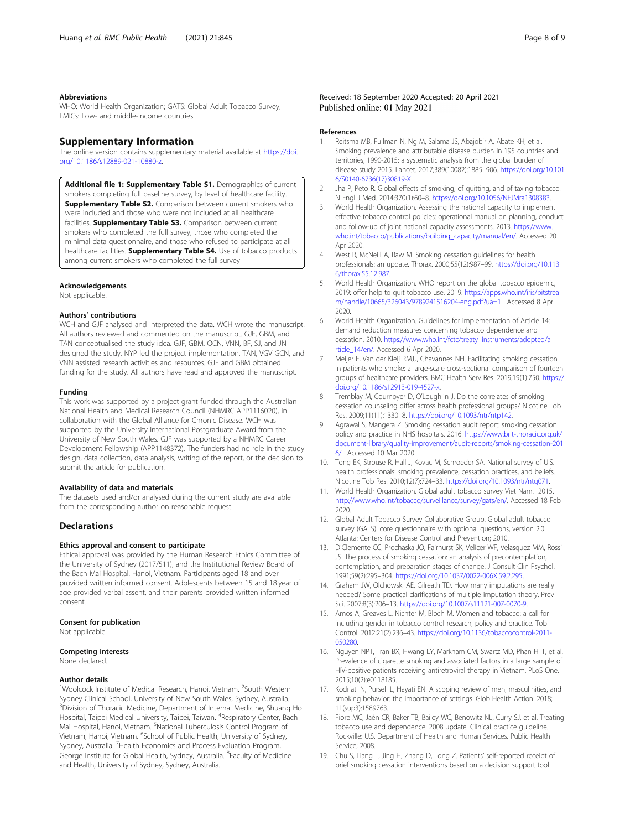#### <span id="page-7-0"></span>Abbreviations

WHO: World Health Organization; GATS: Global Adult Tobacco Survey; LMICs: Low- and middle-income countries

#### Supplementary Information

The online version contains supplementary material available at [https://doi.](https://doi.org/10.1186/s12889-021-10880-z) [org/10.1186/s12889-021-10880-z.](https://doi.org/10.1186/s12889-021-10880-z)

Additional file 1: Supplementary Table S1. Demographics of current smokers completing full baseline survey, by level of healthcare facility. **Supplementary Table S2.** Comparison between current smokers who were included and those who were not included at all healthcare facilities. Supplementary Table S3. Comparison between current smokers who completed the full survey, those who completed the minimal data questionnaire, and those who refused to participate at all healthcare facilities. **Supplementary Table S4.** Use of tobacco products among current smokers who completed the full survey

#### Acknowledgements

Not applicable.

#### Authors' contributions

WCH and GJF analysed and interpreted the data. WCH wrote the manuscript. All authors reviewed and commented on the manuscript. GJF, GBM, and TAN conceptualised the study idea. GJF, GBM, QCN, VNN, BF, SJ, and JN designed the study. NYP led the project implementation. TAN, VGV GCN, and VNN assisted research activities and resources. GJF and GBM obtained funding for the study. All authors have read and approved the manuscript.

#### Funding

This work was supported by a project grant funded through the Australian National Health and Medical Research Council (NHMRC APP1116020), in collaboration with the Global Alliance for Chronic Disease. WCH was supported by the University International Postgraduate Award from the University of New South Wales. GJF was supported by a NHMRC Career Development Fellowship (APP1148372). The funders had no role in the study design, data collection, data analysis, writing of the report, or the decision to submit the article for publication.

#### Availability of data and materials

The datasets used and/or analysed during the current study are available from the corresponding author on reasonable request.

# **Declarations**

#### Ethics approval and consent to participate

Ethical approval was provided by the Human Research Ethics Committee of the University of Sydney (2017/511), and the Institutional Review Board of the Bach Mai Hospital, Hanoi, Vietnam. Participants aged 18 and over provided written informed consent. Adolescents between 15 and 18 year of age provided verbal assent, and their parents provided written informed consent.

#### Consent for publication

Not applicable.

#### Competing interests

None declared.

#### Author details

<sup>1</sup>Woolcock Institute of Medical Research, Hanoi, Vietnam. <sup>2</sup>South Western Sydney Clinical School, University of New South Wales, Sydney, Australia. <sup>3</sup> Division of Thoracic Medicine, Department of Internal Medicine, Shuang Ho Hospital, Taipei Medical University, Taipei, Taiwan. <sup>4</sup>Respiratory Center, Bach Mai Hospital, Hanoi, Vietnam. <sup>5</sup>National Tuberculosis Control Program of Vietnam, Hanoi, Vietnam. <sup>6</sup>School of Public Health, University of Sydney, Sydney, Australia. <sup>7</sup> Health Economics and Process Evaluation Program, George Institute for Global Health, Sydney, Australia. <sup>8</sup>Faculty of Medicine and Health, University of Sydney, Sydney, Australia.

#### References

- 1. Reitsma MB, Fullman N, Ng M, Salama JS, Abajobir A, Abate KH, et al. Smoking prevalence and attributable disease burden in 195 countries and territories, 1990-2015: a systematic analysis from the global burden of disease study 2015. Lancet. 2017;389(10082):1885–906. [https://doi.org/10.101](https://doi.org/10.1016/S0140-6736(17)30819-X) [6/S0140-6736\(17\)30819-X.](https://doi.org/10.1016/S0140-6736(17)30819-X)
- 2. Jha P, Peto R. Global effects of smoking, of quitting, and of taxing tobacco. N Engl J Med. 2014;370(1):60–8. <https://doi.org/10.1056/NEJMra1308383>.
- 3. World Health Organization. Assessing the national capacity to implement effective tobacco control policies: operational manual on planning, conduct and follow-up of joint national capacity assessments. 2013. [https://www.](https://www.who.int/tobacco/publications/building_capacity/manual/en/) [who.int/tobacco/publications/building\\_capacity/manual/en/.](https://www.who.int/tobacco/publications/building_capacity/manual/en/) Accessed 20 Apr 2020.
- 4. West R, McNeill A, Raw M. Smoking cessation guidelines for health professionals: an update. Thorax. 2000;55(12):987–99. [https://doi.org/10.113](https://doi.org/10.1136/thorax.55.12.987) [6/thorax.55.12.987](https://doi.org/10.1136/thorax.55.12.987).
- 5. World Health Organization. WHO report on the global tobacco epidemic, 2019: offer help to quit tobacco use. 2019. [https://apps.who.int/iris/bitstrea](https://apps.who.int/iris/bitstream/handle/10665/326043/9789241516204-eng.pdf?ua=1) [m/handle/10665/326043/9789241516204-eng.pdf?ua=1.](https://apps.who.int/iris/bitstream/handle/10665/326043/9789241516204-eng.pdf?ua=1) Accessed 8 Apr 2020.
- 6. World Health Organization. Guidelines for implementation of Article 14: demand reduction measures concerning tobacco dependence and cessation. 2010. [https://www.who.int/fctc/treaty\\_instruments/adopted/a](https://www.who.int/fctc/treaty_instruments/adopted/article_14/en/) [rticle\\_14/en/.](https://www.who.int/fctc/treaty_instruments/adopted/article_14/en/) Accessed 6 Apr 2020.
- 7. Meijer E, Van der Kleij RMJJ, Chavannes NH. Facilitating smoking cessation in patients who smoke: a large-scale cross-sectional comparison of fourteen groups of healthcare providers. BMC Health Serv Res. 2019;19(1):750. [https://](https://doi.org/10.1186/s12913-019-4527-x) [doi.org/10.1186/s12913-019-4527-x](https://doi.org/10.1186/s12913-019-4527-x).
- 8. Tremblay M, Cournoyer D, O'Loughlin J. Do the correlates of smoking cessation counseling differ across health professional groups? Nicotine Tob Res. 2009;11(11):1330–8. [https://doi.org/10.1093/ntr/ntp142.](https://doi.org/10.1093/ntr/ntp142)
- 9. Agrawal S, Mangera Z. Smoking cessation audit report: smoking cessation policy and practice in NHS hospitals. 2016. [https://www.brit-thoracic.org.uk/](https://www.brit-thoracic.org.uk/document-library/quality-improvement/audit-reports/smoking-cessation-2016/) [document-library/quality-improvement/audit-reports/smoking-cessation-201](https://www.brit-thoracic.org.uk/document-library/quality-improvement/audit-reports/smoking-cessation-2016/) [6/.](https://www.brit-thoracic.org.uk/document-library/quality-improvement/audit-reports/smoking-cessation-2016/) Accessed 10 Mar 2020.
- 10. Tong EK, Strouse R, Hall J, Kovac M, Schroeder SA. National survey of U.S. health professionals' smoking prevalence, cessation practices, and beliefs. Nicotine Tob Res. 2010;12(7):724–33. <https://doi.org/10.1093/ntr/ntq071>.
- 11. World Health Organization. Global adult tobacco survey Viet Nam. 2015. <http://www.who.int/tobacco/surveillance/survey/gats/en/>. Accessed 18 Feb 2020.
- 12. Global Adult Tobacco Survey Collaborative Group. Global adult tobacco survey (GATS): core questionnaire with optional questions, version 2.0. Atlanta: Centers for Disease Control and Prevention; 2010.
- 13. DiClemente CC, Prochaska JO, Fairhurst SK, Velicer WF, Velasquez MM, Rossi JS. The process of smoking cessation: an analysis of precontemplation, contemplation, and preparation stages of change. J Consult Clin Psychol. 1991;59(2):295–304. <https://doi.org/10.1037/0022-006X.59.2.295>.
- 14. Graham JW, Olchowski AE, Gilreath TD. How many imputations are really needed? Some practical clarifications of multiple imputation theory. Prev Sci. 2007;8(3):206–13. [https://doi.org/10.1007/s11121-007-0070-9.](https://doi.org/10.1007/s11121-007-0070-9)
- 15. Amos A, Greaves L, Nichter M, Bloch M. Women and tobacco: a call for including gender in tobacco control research, policy and practice. Tob Control. 2012;21(2):236–43. [https://doi.org/10.1136/tobaccocontrol-2011-](https://doi.org/10.1136/tobaccocontrol-2011-050280) [050280](https://doi.org/10.1136/tobaccocontrol-2011-050280).
- 16. Nguyen NPT, Tran BX, Hwang LY, Markham CM, Swartz MD, Phan HTT, et al. Prevalence of cigarette smoking and associated factors in a large sample of HIV-positive patients receiving antiretroviral therapy in Vietnam. PLoS One. 2015;10(2):e0118185.
- 17. Kodriati N, Pursell L, Hayati EN. A scoping review of men, masculinities, and smoking behavior: the importance of settings. Glob Health Action. 2018; 11(sup3):1589763.
- 18. Fiore MC, Jaén CR, Baker TB, Bailey WC, Benowitz NL, Curry SJ, et al. Treating tobacco use and dependence: 2008 update. Clinical practice guideline. Rockville: U.S. Department of Health and Human Services. Public Health Service; 2008.
- 19. Chu S, Liang L, Jing H, Zhang D, Tong Z. Patients' self-reported receipt of brief smoking cessation interventions based on a decision support tool